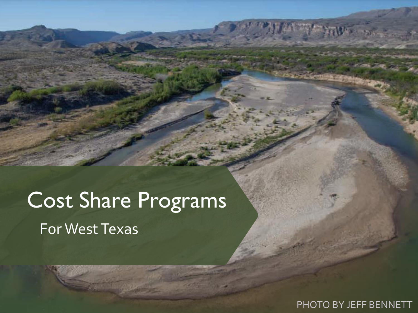# Cost Share Programs For West Texas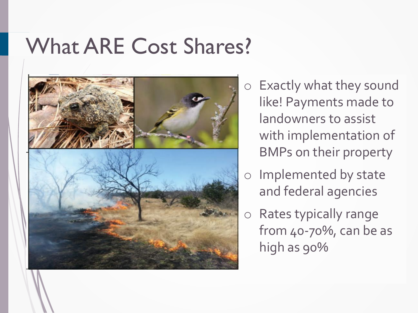## What ARE Cost Shares?



- o Exactly what they sound like! Payments made to landowners to assist with implementation of BMPs on their property
- o Implemented by state and federal agencies
- o Rates typically range from 40-70%, can be as high as 90%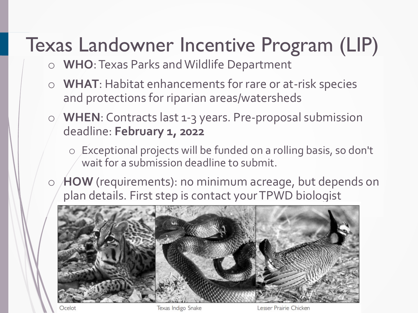## Texas Landowner Incentive Program (LIP)

- o **WHO**: Texas Parks and Wildlife Department
- o **WHAT**: Habitat enhancements for rare or at-risk species and protections for riparian areas/watersheds
- o **WHEN**: Contracts last 1-3 years. Pre-proposal submission deadline: **February 1, 2022**
	- o Exceptional projects will be funded on a rolling basis, so don't wait for a submission deadline to submit.
- o **HOW** (requirements): no minimum acreage, but depends on plan details. First step is contact your TPWD biologist



Ocelot

Texas Indigo Snake

Lesser Prairie Chicken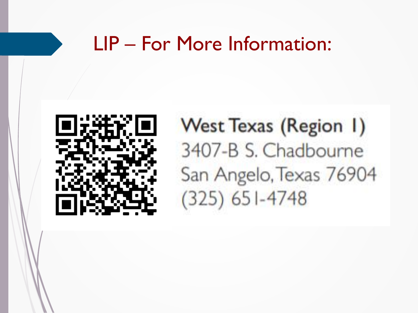### LIP - For More Information:



**West Texas (Region 1)** 3407-B S. Chadbourne San Angelo, Texas 76904  $(325)$  651-4748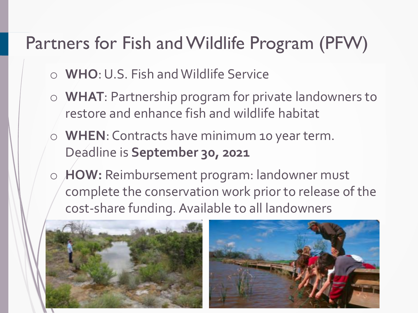### Partners for Fish and Wildlife Program (PFW)

- o **WHO**: U.S. Fish and Wildlife Service
- o **WHAT**: Partnership program for private landowners to restore and enhance fish and wildlife habitat
- o **WHEN**: Contracts have minimum 10 year term. Deadline is **September 30, 2021**
- o **HOW:** Reimbursement program: landowner must complete the conservation work prior to release of the cost-share funding. Available to all landowners



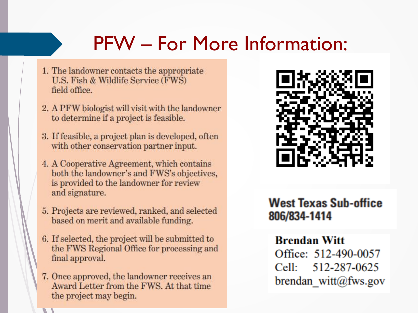## **PFW** – For More Information:

- 1. The landowner contacts the appropriate U.S. Fish & Wildlife Service (FWS) field office.
- 2. A PFW biologist will visit with the landowner to determine if a project is feasible.
- 3. If feasible, a project plan is developed, often with other conservation partner input.
- 4. A Cooperative Agreement, which contains both the landowner's and FWS's objectives, is provided to the landowner for review and signature.
- 5. Projects are reviewed, ranked, and selected based on merit and available funding.
- 6. If selected, the project will be submitted to the FWS Regional Office for processing and final approval.
- 7. Once approved, the landowner receives an Award Letter from the FWS. At that time the project may begin.



### **West Texas Sub-office** 806/834-1414

#### **Brendan Witt**

Office: 512-490-0057 Cell: 512-287-0625 brendan witt@fws.gov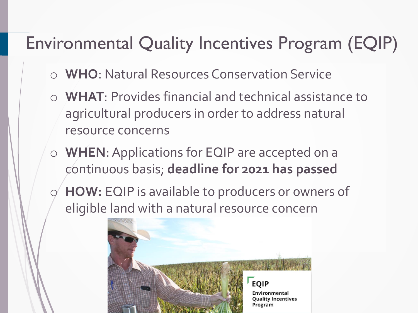### Environmental Quality Incentives Program (EQIP)

- o **WHO**: Natural Resources Conservation Service
- o **WHAT**: Provides financial and technical assistance to agricultural producers in order to address natural resource concerns
- o **WHEN**: Applications for EQIP are accepted on a continuous basis; **deadline for 2021 has passed**
- o **HOW:** EQIP is available to producers or owners of eligible land with a natural resource concern

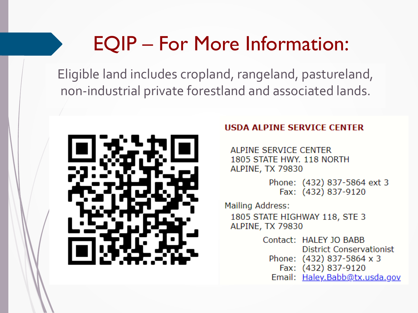### EQIP – For More Information:

Eligible land includes cropland, rangeland, pastureland, non-industrial private forestland and associated lands.



#### **HSDA ALPINE SERVICE CENTER**

ALPINE SERVICE CENTER 1805 STATE HWY. 118 NORTH **ALPINE, TX 79830** 

> Phone: (432) 837-5864 ext 3 Fax: (432) 837-9120

Mailing Address: 1805 STATE HIGHWAY 118, STE 3 ALPINE, TX 79830

> Contact: HALEY JO BABB **District Conservationist** Phone: (432) 837-5864 x 3 Fax: (432) 837-9120 Email: Haley.Babb@tx.usda.gov